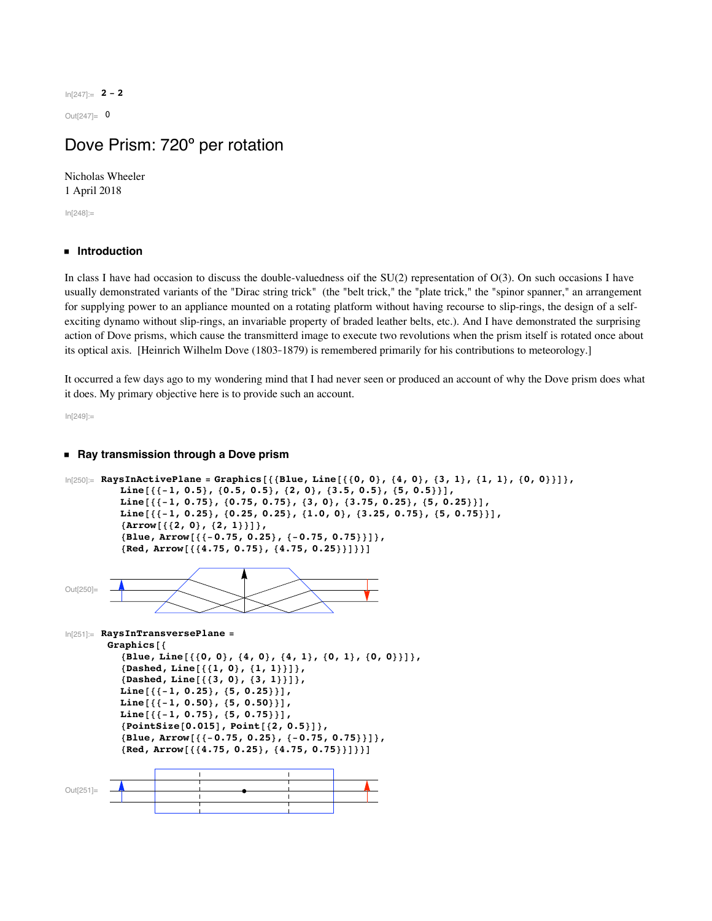In[247]:= **2 - 2**

 $Out[247]= 0$ 

# Dove Prism: 720º per rotation

Nicholas Wheeler 1 April 2018

In[248]:=

# **ü Introduction**

In class I have had occasion to discuss the double-valuedness oif the  $SU(2)$  representation of  $O(3)$ . On such occasions I have usually demonstrated variants of the "Dirac string trick" (the "belt trick," the "plate trick," the "spinor spanner," an arrangement for supplying power to an appliance mounted on a rotating platform without having recourse to slip-rings, the design of a selfexciting dynamo without slip-rings, an invariable property of braded leather belts, etc.). And I have demonstrated the surprising action of Dove prisms, which cause the transmitterd image to execute two revolutions when the prism itself is rotated once about its optical axis. [Heinrich Wilhelm Dove (1803-1879) is remembered primarily for his contributions to meteorology.]

It occurred a few days ago to my wondering mind that I had never seen or produced an account of why the Dove prism does what it does. My primary objective here is to provide such an account.

In[249]:=

## **ü Ray transmission through a Dove prism**

```
\ln[250] = RaysInActivePlane = Graphics[{{Blue, Line[{{0, 0}, {4, 0}, {3, 1}, {1, 1}, {0, 0}}]},
          Line [{(-1, 0.5), (0.5, 0.5), (2, 0), (3.5, 0.5), (5, 0.5)}]Line [\{-1, 0.75\}, \{0.75, 0.75\}, \{3, 0\}, \{3.75, 0.25\}, \{5, 0.25\}\}],Line [\{-1, 0.25\}, \{0.25, 0.25\}, \{1.0, 0\}, \{3.25, 0.75\}, \{5, 0.75\}\}],{array[{2, 0}, {2, 1}]}{Blue, Arrow[{(-0.75, 0.25]}, {-0.75, 0.75}}]{Red, Arrow[{ {(4.75, 0.75}, {4.75, 0.25}}]}Out[250]=
In[251]:= RaysInTransversePlane =
        Graphics<sup>[{</sup>
          {Blue, Line[{\{0, 0\}, {4, 0}, {4, 1}, {0, 1}, {0, 0}}]},
          8Dashed, Line@881, 0<, 81, 1<<D<,
          8Dashed, Line@883, 0<, 83, 1<<D<,
          Line [{\{-1, 0.25\}, {5, 0.25}}],
          Line[{(-1, 0.50}, {5, 0.50})]Line [{(-1, 0.75}, {5, 0.75})],8PointSize@0.015D, Point@82, 0.5<D<,
          {Blue, Arrow[{(-0.75, 0.25]}, {-0.75, 0.75}}]{Red, Arrow[{ {(4.75, 0.25}, {4.75, 0.75}}]}Out[251]=
```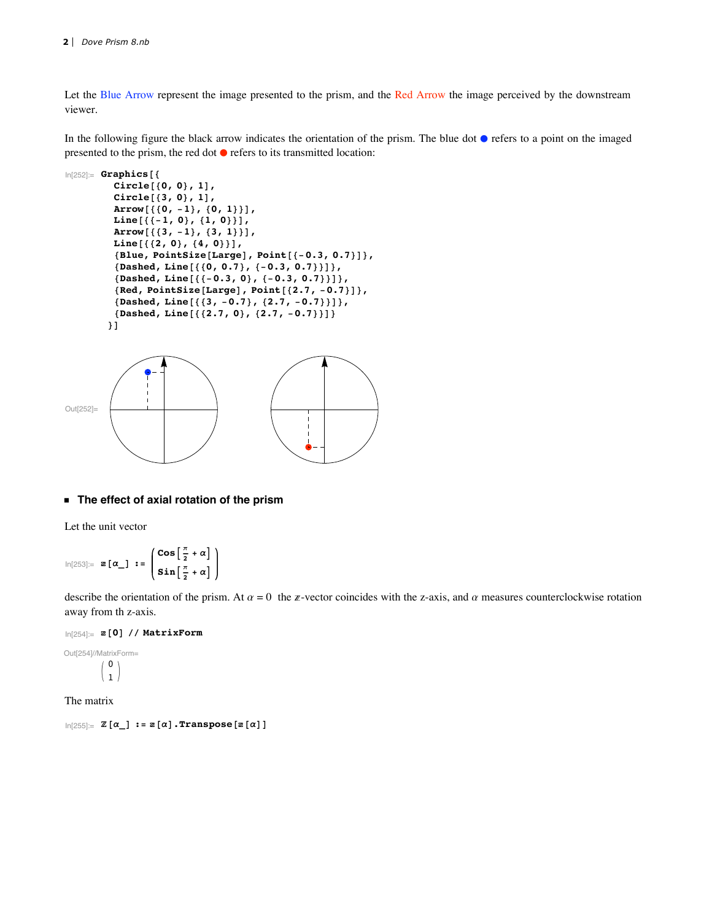Let the Blue Arrow represent the image presented to the prism, and the Red Arrow the image perceived by the downstream viewer.

In the following figure the black arrow indicates the orientation of the prism. The blue dot  $\bullet$  refers to a point on the imaged presented to the prism, the red dot  $\bullet$  refers to its transmitted location:



#### **ü The effect of axial rotation of the prism**

Let the unit vector

$$
\ln[253] := \mathbf{z} \left[ \alpha \right] := \begin{pmatrix} \cos \left[ \frac{\pi}{2} + \alpha \right] \\ \sin \left[ \frac{\pi}{2} + \alpha \right] \end{pmatrix}
$$

describe the orientation of the prism. At  $\alpha = 0$  the z-vector coincides with the z-axis, and  $\alpha$  measures counterclockwise rotation away from th z-axis.

In[254]:= **@0D êê MatrixForm**

```
Out[254]//MatrixForm=
                   \overline{0}\mathbf 1
```
The matrix

 $\text{In}[255]: = \mathbb{Z}[\alpha] : \text{= } \mathbb{Z}[\alpha] \cdot \text{Transpose}[z[\alpha]]$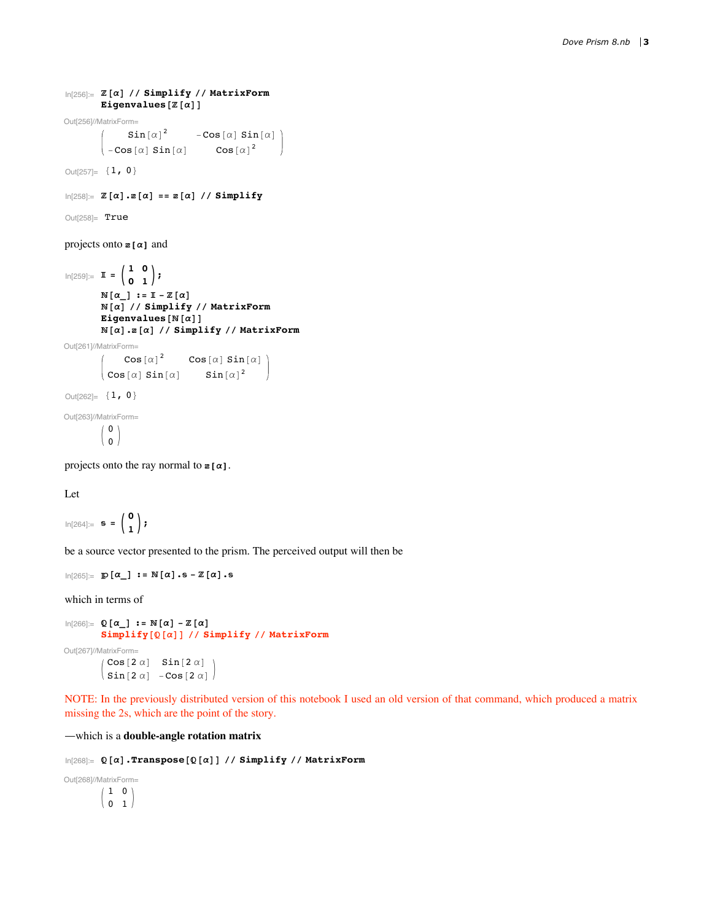```
In[256]:= @aD êê Simplify êê MatrixForm
       Eigenvalues [Z[\alpha]]
```
Out[256]//MatrixForm=

 $\sin[\alpha]^2$  -Cos $[\alpha]$  Sin $[\alpha]$  $\big\vert$  -Cos[ $\alpha$ ] Sin[ $\alpha$ ] Cos[ $\alpha$ ]<sup>2</sup>

Out<br>[257]=  ${1, 0}$ 

 $\ln[258] = \mathbb{Z} [\alpha] \cdot \mathbb{Z} [\alpha] = \mathbb{Z} [\alpha] / \sinh(\theta)$ 

Out[258]= True

projects onto **z** [**a**] and

```
\ln[259] := \mathbb{I} = \begin{pmatrix} 1 & 0 \\ 0 & 1 \end{pmatrix}\mathbb{N}\left[\alpha_{\_}\right] := \mathbb{I} - \mathbb{Z}\left[\alpha\right]@aD êê Simplify êê MatrixForm
              \texttt{Eigenvalues}[\mathbb{N}[\alpha]]\mathbb{N}[\alpha].\mathbb{Z}[\alpha] // Simplify // MatrixForm
Out[261]//MatrixForm=
                      \cos[\alpha]^2 Cos[\alpha] Sin[\alpha]\begin{bmatrix} \cos[\alpha] & \sin[\alpha] \end{bmatrix} Sin[\alpha]^2Out[262] = {1, 0}Out[263]//MatrixForm=
               \sqrt{0}\langle 0 \rangle
```
projects onto the ray normal to  $z[\alpha]$ .

Let

```
\ln[264] := s = \begin{pmatrix} 0 \\ 1 \end{pmatrix};
```
be a source vector presented to the prism. The perceived output will then be

```
\ln[265] := \mathbb{D}[\alpha_1] := \mathbb{N}[\alpha] \cdot \mathbb{s} - \mathbb{Z}[\alpha] \cdot \mathbb{s}
```
which in terms of

```
\ln[266] := \mathbb{Q} [\alpha_1 : \mathbb{R} \times \mathbb{R}^d] \leq \mathbb{R} [\alpha]Simplify@@aDD êê Simplify êê MatrixForm
Out[267]//MatrixForm=
            \sqrt{ \cos (2\alpha)} \sin [2\alpha]\sin 2 \alpha -Cos2 \alpha
```
NOTE: In the previously distributed version of this notebook I used an old version of that command, which produced a matrix missing the 2s, which are the point of the story.

~which is a **double-angle rotation matrix**

```
In[268]:= @aD.Transpose@@aDD êê Simplify êê MatrixForm
```
Out[268]//MatrixForm=

 $(1 0)$  $\begin{pmatrix} 0 & 1 \end{pmatrix}$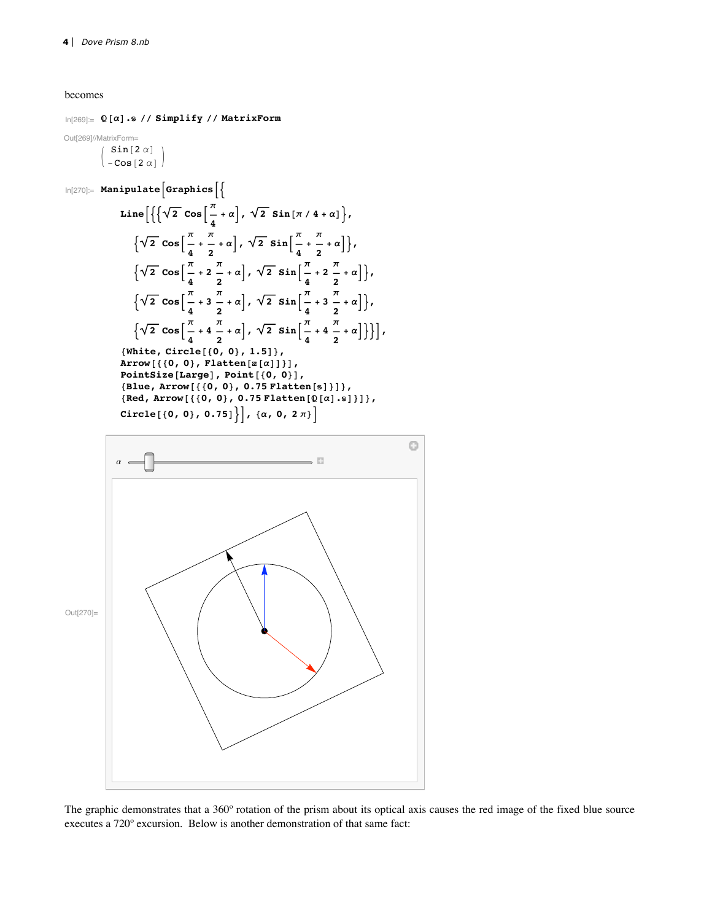becomes

In[269]:= **@aD. êê Simplify êê MatrixForm**

Out[269]//MatrixForm=

 $Sin[2 \alpha]$  $\vert$  – Cos [2  $\alpha$ ]

 $\ln[270] :=$  **Manipulate Graphics**  $\begin{bmatrix} \end{bmatrix}$ 

Line 
$$
\left[ \left\{ \sqrt{2} \cos \left[ \frac{\pi}{4} + \alpha \right], \sqrt{2} \sin \left[ \pi / 4 + \alpha \right] \right\}, \sqrt{2} \cos \left[ \frac{\pi}{4} + \frac{\pi}{2} + \alpha \right], \sqrt{2} \sin \left[ \frac{\pi}{4} + \frac{\pi}{2} + \alpha \right] \right\},\sqrt{2} \cos \left[ \frac{\pi}{4} + 2 \frac{\pi}{2} + \alpha \right], \sqrt{2} \sin \left[ \frac{\pi}{4} + 2 \frac{\pi}{2} + \alpha \right] \right\},\sqrt{2} \cos \left[ \frac{\pi}{4} + 3 \frac{\pi}{2} + \alpha \right], \sqrt{2} \sin \left[ \frac{\pi}{4} + 3 \frac{\pi}{2} + \alpha \right] \right\},\sqrt{2} \cos \left[ \frac{\pi}{4} + 3 \frac{\pi}{2} + \alpha \right], \sqrt{2} \sin \left[ \frac{\pi}{4} + 3 \frac{\pi}{2} + \alpha \right] \right\},\sqrt{2} \sin \left[ \frac{\pi}{4} + 4 \frac{\pi}{2} + \alpha \right] \right\} \right],\sqrt{2} \sin \left[ \frac{\pi}{4} + 4 \frac{\pi}{2} + \alpha \right] \right\} \right],\sqrt{2} \sin \left[ \left[ \frac{\pi}{4} + 4 \frac{\pi}{2} + \alpha \right] \right\} \right],\sqrt{2} \sin \left[ \left[ \frac{\pi}{4} + 4 \frac{\pi}{2} + \alpha \right] \right\} \right],\sqrt{2} \sin \left[ \left[ \left[ \frac{\pi}{4} + 2 \frac{\pi}{2} + \alpha \right] \right] \right\} \right],\sqrt{2} \sin \left[ \left[ \left[ \left[ \left[ \frac{\pi}{4} + 2 \frac{\pi}{2} + \alpha \right] \right] \right] \right\} \right],\sqrt{2} \sin \left[ \left[ \left[ \left[ \left[ \left[ \left[ \frac{\pi}{4} + 2 \frac{\pi}{2} + \alpha \right] \right] \right] \right] \right\} \right],\sqrt{2} \sin \left[ \left[ \left[ \left[ \left[ \left[ \left[ \left[ 0, 0 \right] \right] \right] \right] \right] \right] \right\} \sin \left[ \left[ \left[ \left[ \left[ \left[ 0, 0 \right] \right
$$

 ${Blue, Arrow[{(0, 0)}, 0.75$  **Flatten**[s]}]},  ${Red, Arrow[ { (0, 0), 0.75 Flatten[ $\mathbb{Q}[a].s$  ] } },$  $\text{Circle}[\{0, 0\}, 0.75]\}$ ,  $\{\alpha, 0, 2\pi\}$ 



The graphic demonstrates that a 360º rotation of the prism about its optical axis causes the red image of the fixed blue source executes a 720º excursion. Below is another demonstration of that same fact: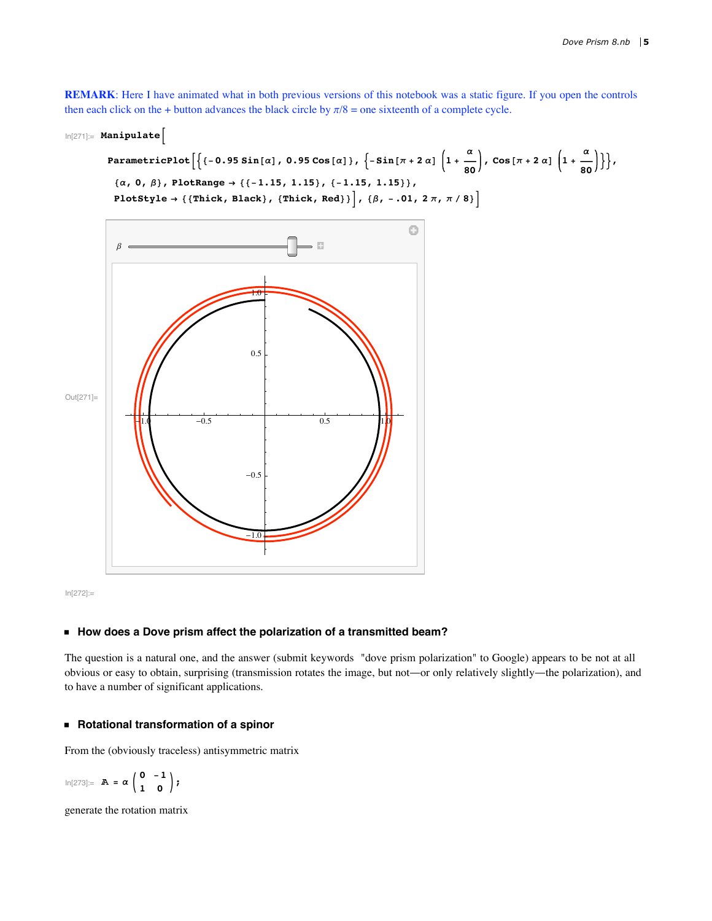**REMARK**: Here I have animated what in both previous versions of this notebook was a static figure. If you open the controls then each click on the + button advances the black circle by  $\pi/8$  = one sixteenth of a complete cycle.

```
In[271]:= ManipulateB
```

```
ParametricPlot\left[\left\{\left\{-0.95\sin\left[\alpha\right],\ 0.95\cos\left[\alpha\right]\right\},\ \left\{-\sin\left[\pi+2\,\alpha\right]\,\left(1+\frac{\alpha}{80}\right),\ \cos\left[\pi+2\,\alpha\right]\,\left(1+\frac{\alpha}{80}\right)\right\}\right\},\{(\alpha, 0, \beta), \text{PlotRange} \rightarrow \{(-1.15, 1.15), (-1.15, 1.15)\},\}\texttt{PlotStyle} \rightarrow \{\{\texttt{Thick, Black}\},\ \{\texttt{Thick, Red}\}\}\Big],\ \{\beta,\ -.01,\ 2\,\pi,\ \pi\,/\,8\}\Big]
```


In[272]:=

# **ü How does a Dove prism affect the polarization of a transmitted beam?**

The question is a natural one, and the answer (submit keywords "dove prism polarization" to Google) appears to be not at all obvious or easy to obtain, surprising (transmission rotates the image, but not~or only relatively slightly~the polarization), and to have a number of significant applications.

#### **ü Rotational transformation of a spinor**

From the (obviously traceless) antisymmetric matrix

$$
\ln[273] := \mathbb{A} = \alpha \left( \begin{array}{cc} 0 & -1 \\ 1 & 0 \end{array} \right);
$$

generate the rotation matrix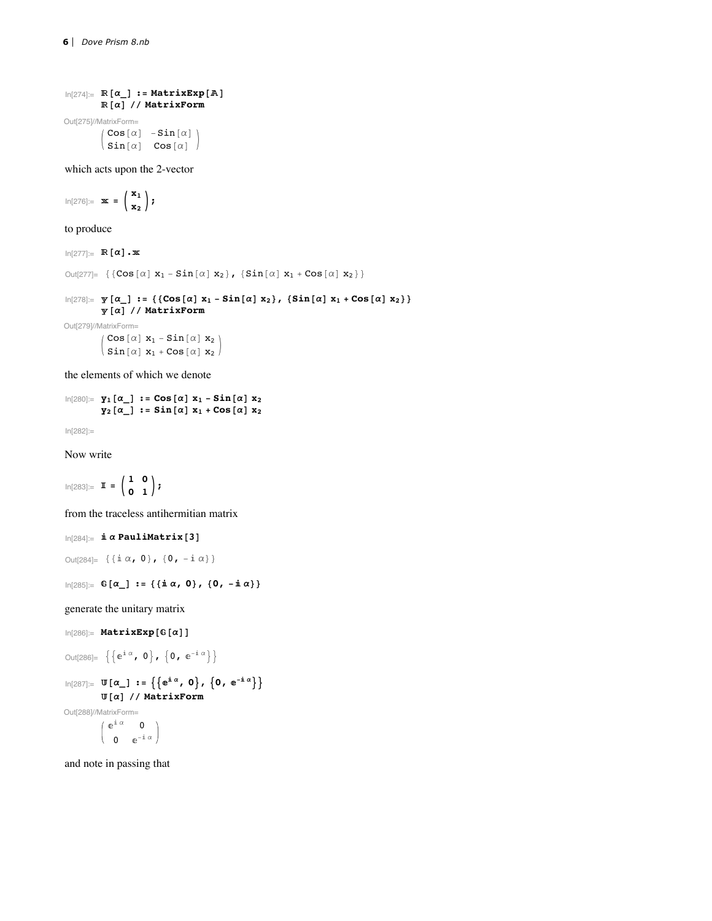```
\ln[274] := \mathbb{R} [\alpha_1] := \text{MatrixExp}[A]\mathbb{R}[\alpha] // MatrixForm
```
Out[275]//MatrixForm=  $|Cos[\alpha] -Sin[\alpha]|$  $\langle$  Sin[ $\alpha$ ]  $\cos[\alpha]$ 

which acts upon the 2-vector

 $\ln[276] := \mathbf{x} = \begin{pmatrix} \mathbf{x}_1 \\ \mathbf{x}_2 \end{pmatrix}$ ;

to produce

 $\ln[277] :=$  **R**  $\alpha$   $\cdot$  **x** 

```
Out[277]= \{ \text{Cos}[\alpha] x_1 - \text{Sin}[\alpha] x_2 \}, \{ \text{Sin}[\alpha] x_1 + \text{Cos}[\alpha] x_2 \} \}
```
 $\ln[278]:=\;\mathbf{y}\left[\alpha_{\_}\right]:=\;\left\{\;\left\{\texttt{Cos}\left[\alpha\right]\; \mathbf{x}_{1}-\texttt{Sin}\left[\alpha\right]\; \mathbf{x}_{2}\right\},\;\;\left\{\texttt{Sin}\left[\alpha\right]\; \mathbf{x}_{1}+\texttt{Cos}\left[\alpha\right]\; \mathbf{x}_{2}\right\}\right\}$ **@aD êê MatrixForm**

Out[279]//MatrixForm=

```
\begin{pmatrix} \cos[\alpha] & x_1 - \sin[\alpha] & x_2 \\ \sin[\alpha] & \cos[\alpha] & \cos[\alpha] \end{pmatrix}\sin[\alpha] x<sub>1</sub> + Cos[\alpha] x<sub>2</sub>
```
the elements of which we denote

```
\ln[280] := \mathbf{y}_1 [\alpha_1] := \text{Cos}[\alpha] \mathbf{x}_1 - \text{Sin}[\alpha] \mathbf{x}_2y_2[\alpha] := \sin[\alpha] x_1 + \cos[\alpha] x_2
```
In[282]:=

Now write

 $\ln[283] := \mathbb{I} = \begin{pmatrix} 1 & 0 \\ 0 & 1 \end{pmatrix}$ 

from the traceless antihermitian matrix

 $\ln[284] :=$   $\mathbf{i} \alpha$  **PauliMatrix** [3]

```
Out[284] = {\{\text{if } \alpha, 0\}, {0, -\text{if } \alpha\}}
```

```
In[285] := \mathbb{G}[\alpha_1] := \{ \{ \mathbf{i} \alpha, 0 \}, \{ 0, -\mathbf{i} \alpha \} \}
```
generate the unitary matrix

```
In [286] := MatrixExp [G [\alpha] ]
```

```
Out[286] = \{\{e^{\mathrm{i} \alpha}, 0\}, \{0, e^{-\mathrm{i} \alpha}\}\}\
```

```
\text{In} [287]:=\ \mathbb{U} \left[ \alpha \ \  \right] \ := \ \left\{ \left\{ \ \mathrm{e}^{\mathbbm{i} \ \alpha} \ , \ 0 \right\} \ , \ \left\{ \  \  \, \mathrm{e}^{-\mathbbm{i} \ \alpha} \right\} \right\}@aD êê MatrixForm
```
Out[288]//MatrixForm=

$$
\begin{array}{cc}e^{\text{i}\;\alpha} & 0 \\ 0 & e^{-\text{i}\;\alpha}\end{array}\Bigg)
$$

and note in passing that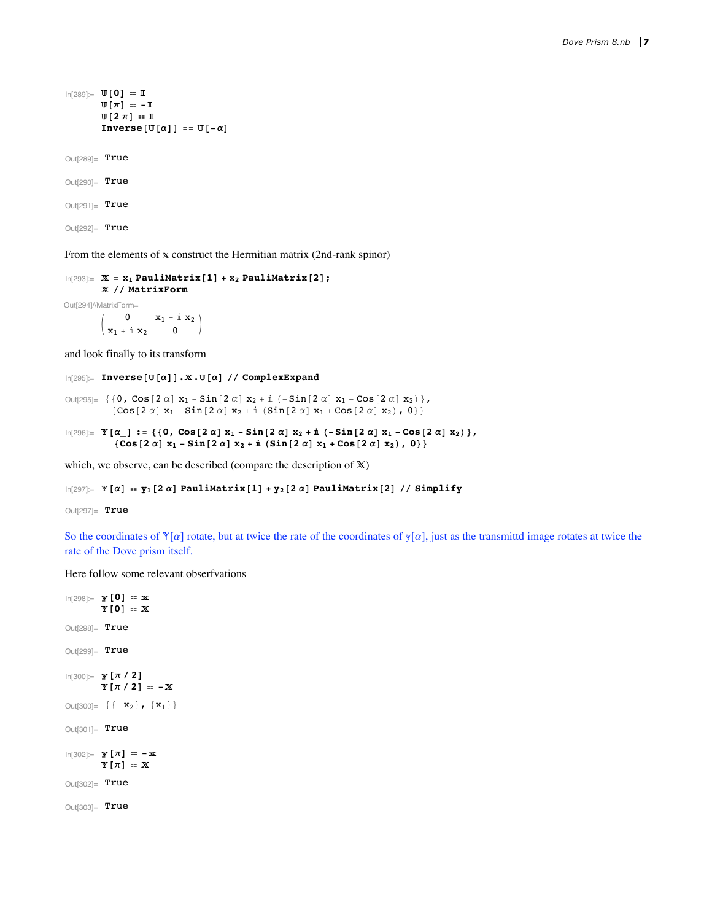```
In[289]:= @0D ã 
            \mathbb{U}[\pi] = -\mathbb{I}\Pi [2 \pi] = \mathbb{I}\text{Inverse}[\mathbb{U}[\alpha]] == \mathbb{U}[-\alpha]Out[289]= True
Out[290]= True
```
From the elements of  $x$  construct the Hermitian matrix (2nd-rank spinor)

```
\ln[293] := X = x_1 PauliMatrix [1] + x_2 PauliMatrix [2];
        êê MatrixForm
```
Out[294]//MatrixForm=

Out[291]= True Out[292]= True

> $\begin{pmatrix} 0 & x_1 - i & x_2 \\ i_1 + i & x_2 & 0 \end{pmatrix}$  $x_1 + i x_2$

and look finally to its transform

 $\ln[295]$ := Inverse[U[ $\alpha$ ]].X.U[ $\alpha$ ] // ComplexExpand

```
Out[295]= \{0, \cos[2\alpha] x_1 - \sin[2\alpha] x_2 + i (-\sin[2\alpha] x_1 - \cos[2\alpha] x_2)\},\{Cos[2 \alpha] x_1 - Sin[2 \alpha] x_2 + i (Sin[2 \alpha] x_1 + Cos[2 \alpha] x_2), 0\}
```
 $\ln[296] = \mathbb{Y} [\alpha_>] := \{ \{0, \cos[2\alpha] x_1 - \sin[2\alpha] x_2 + \mathbb{i} (-\sin[2\alpha] x_1 - \cos[2\alpha] x_2) \},$  $\{ \texttt{Cos}\ [\ 2\ \alpha\ ]\ x_1 - \texttt{Sin}\ [\ 2\ \alpha\ ]\ x_2 + \dot{\texttt{n}}\ \{\texttt{Sin}\ [\ 2\ \alpha\ ]\ x_1 + \texttt{Cos}\ [\ 2\ \alpha\ ]\ x_2)$ , 0} }

which, we observe, can be described (compare the description of  $X$ )

```
\ln[297] = \mathbb{Y}[\alpha] = \mathbb{Y}_1[2\alpha] PauliMatrix[1] + \mathbb{Y}_2[2\alpha] PauliMatrix[2] // Simplify
```
Out[297]= True

So the coordinates of  $\mathbb{Y}[\alpha]$  rotate, but at twice the rate of the coordinates of  $\mathbb{Y}[\alpha]$ , just as the transmittd image rotates at twice the rate of the Dove prism itself.

Here follow some relevant obserfvations

```
In[298]:= @0D ã 
          \mathbb{Y}[0] = \mathbb{X}Out[298]= True
Out[299]= True
In[300]:= @p ê 2D
          \Psi [\pi / 2] = -XOut[300]=\{(-\mathbf{X}_2), (\mathbf{X}_1)\}Out[301]= True
\ln[302] := \mathbf{y} [\pi] = -\mathbf{x}\Psi [\pi] = \mathbb{X}Out[302]= True
Out[303]= True
```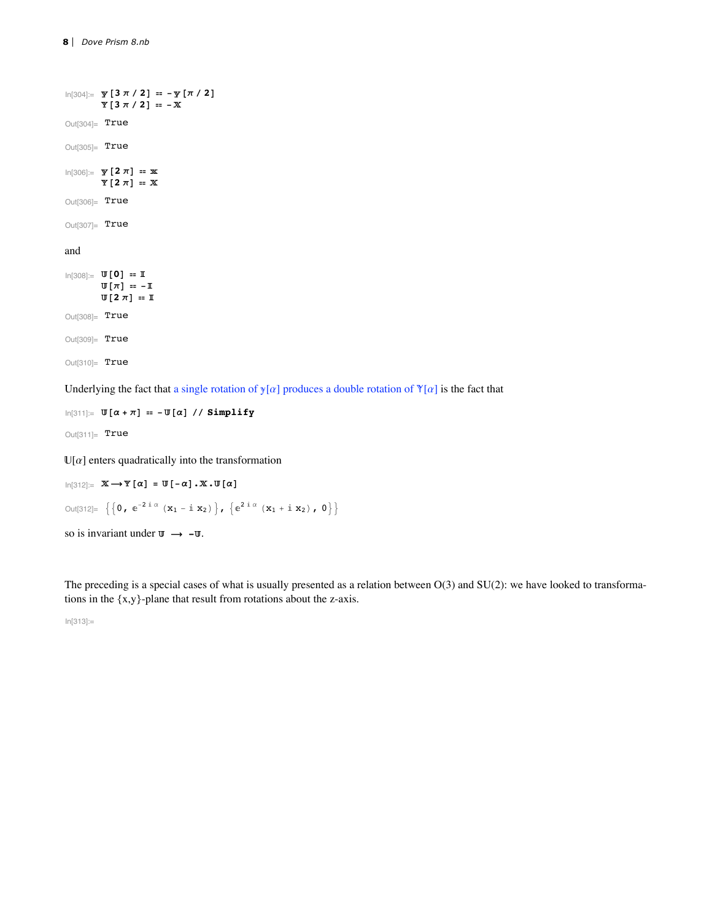```
\ln[304] := y [3 \pi / 2] = -\frac{\pi}{2} [\pi / 2]\mathbb{Y}\left[\begin{smallmatrix} 3 & \pi / & 2 \end{smallmatrix}\right] \; \mathop{=\ }\limits -\mathbb{X}Out[304]= True
Out[305] = True\ln[306] = \mathbf{y} [2 \pi] = \mathbf{x}\Psi [2 \pi] = \mathbb{X}Out[306]= True
Out[307]= True
and
In[308]:= @0D ã 
             \Pi[\pi] \equiv -\mathbb{I}\Pi [2 \pi] = I
```
Out[308]= True Out[309]= True Out[310]= True

Underlying the fact that a single rotation of  $y[\alpha]$  produces a double rotation of  $\mathbb{Y}[\alpha]$  is the fact that

 $\ln[311]:$  **W**  $[\alpha + \pi]$  =  $-\text{W}[\alpha]$  // Simplify

 $Out[311]=$  True

 $\mathbb{U}[\alpha]$  enters quadratically into the transformation

 $\text{In}[312]:=\ \mathbb{X}\longrightarrow \mathbb{Y}\left[\alpha\right]\ =\ \mathbb{U}\left[-\alpha\right]\,\text{.}\ \mathbb{X}\,\text{.}\ \mathbb{U}\left[\alpha\right]$ Out[312]=  $\left\{ \left\{ 0, e^{-2i\alpha} (x_1 - i x_2) \right\}, \left\{ e^{2i\alpha} (x_1 + i x_2), 0 \right\} \right\}$ so is invariant under  $\mathbf{w} \rightarrow -\mathbf{w}$ .

The preceding is a special cases of what is usually presented as a relation between  $O(3)$  and  $SU(2)$ : we have looked to transformations in the {x,y}-plane that result from rotations about the z-axis.

In[313]:=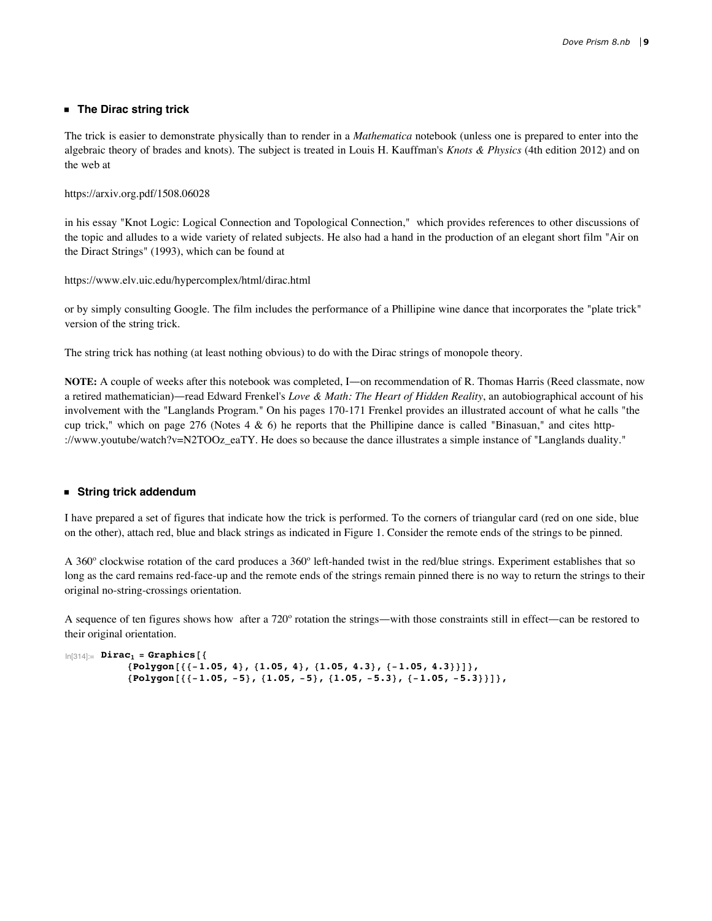## **ü The Dirac string trick**

The trick is easier to demonstrate physically than to render in a *Mathematica* notebook (unless one is prepared to enter into the algebraic theory of brades and knots). The subject is treated in Louis H. Kauffman's *Knots & Physics* (4th edition 2012) and on the web at

https://arxiv.org.pdf/1508.06028

in his essay "Knot Logic: Logical Connection and Topological Connection," which provides references to other discussions of the topic and alludes to a wide variety of related subjects. He also had a hand in the production of an elegant short film "Air on the Diract Strings" (1993), which can be found at

https://www.elv.uic.edu/hypercomplex/html/dirac.html

or by simply consulting Google. The film includes the performance of a Phillipine wine dance that incorporates the "plate trick" version of the string trick.

The string trick has nothing (at least nothing obvious) to do with the Dirac strings of monopole theory.

**NOTE:** A couple of weeks after this notebook was completed, I—on recommendation of R. Thomas Harris (Reed classmate, now a retired mathematician)—read Edward Frenkel's *Love & Math: The Heart of Hidden Reality*, an autobiographical account of his involvement with the "Langlands Program." On his pages 170-171 Frenkel provides an illustrated account of what he calls "the cup trick," which on page 276 (Notes  $4 \& 6$ ) he reports that the Phillipine dance is called "Binasuan," and cites http-://www.youtube/watch?v=N2TOOz\_eaTY. He does so because the dance illustrates a simple instance of "Langlands duality."

## **ü String trick addendum**

I have prepared a set of figures that indicate how the trick is performed. To the corners of triangular card (red on one side, blue on the other), attach red, blue and black strings as indicated in Figure 1. Consider the remote ends of the strings to be pinned.

A 360º clockwise rotation of the card produces a 360º left-handed twist in the red/blue strings. Experiment establishes that so long as the card remains red-face-up and the remote ends of the strings remain pinned there is no way to return the strings to their original no-string-crossings orientation.

A sequence of ten figures shows how after a  $720^{\circ}$  rotation the strings—with those constraints still in effect—can be restored to their original orientation.

```
In [314] := <b>Dirac</b><sub>1</sub> = <b>Graphics</b>{Polygon[{(-1.05, 4), (1.05, 4), (1.05, 4.3), (-1.05, 4.3)}]}{Polygon[{(-1.05, -5)}, {1.05, -5}, {1.05, -5.3}, {-1.05, -5.3})}
```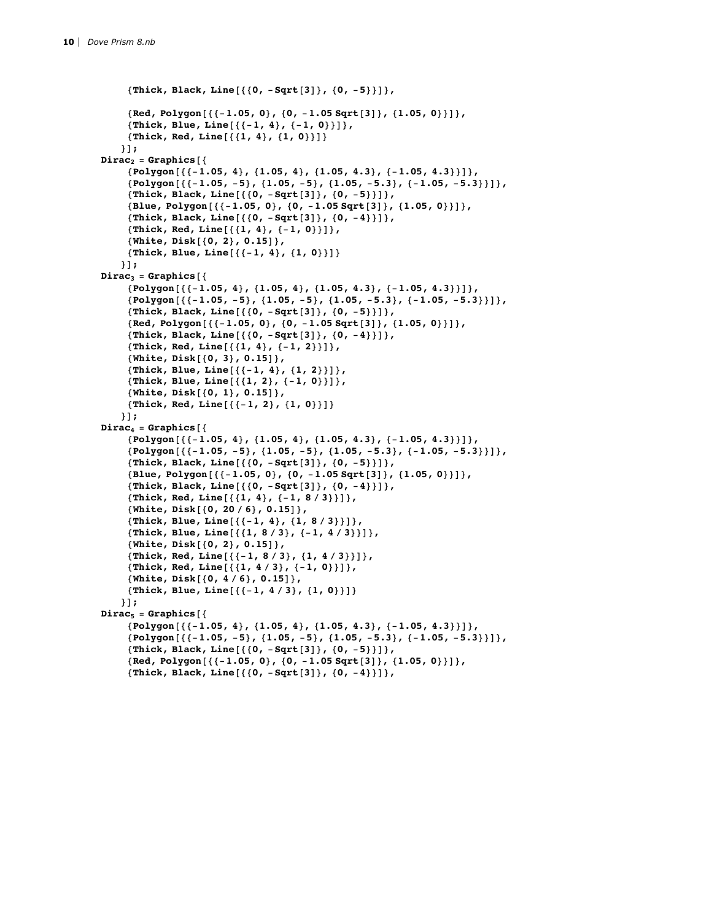```
8Thick, Black, Line@880, -Sqrt@3D<, 80, -5<<D<,
     {Red, Polygon[{(-1.05, 0)}, {0, -1.05, Sqrt[3]}, {1.05, 0}}]8Thick, Blue, Line@88-1, 4<, 8-1, 0<<D<,
     8Thick, Red, Line@881, 4<, 81, 0<<D<
   <D;
Dirac<sub>2</sub> = Graphics\{Polygon[\{(-1.05, 4), \{1.05, 4\}, \{1.05, 4.3\}, \{-1.05, 4.3\}]\},{Polygon[{(-1.05, -5)}, {1.05, -5}, {1.05, -5.3}, {-1.05, -5.3}}]8Thick, Black, Line@880, -Sqrt@3D<, 80, -5<<D<,
     {Blue, Polygon[{(-1.05, 0]}, {0, -1.05, Sqrt[3]}, {1.05, 0}}],
     8Thick, Black, Line@880, -Sqrt@3D<, 80, -4<<D<,
     8Thick, Red, Line@881, 4<, 8-1, 0<<D<,
     8White, Disk@80, 2<, 0.15D<,
     8Thick, Blue, Line@88-1, 4<, 81, 0<<D<
   <D;
Dirac<sub>3</sub> = Graphics{Polygon[{(-1.05, 4), (1.05, 4), (1.05, 4.3), (-1.05, 4.3)}]}{Polygon[{(-1.05, -5)}, {1.05, -5}, {1.05, -5.3}, {-1.05, -5.3})}]8Thick, Black, Line@880, -Sqrt@3D<, 80, -5<<D<,
     {Red, Polygon[ {-1.05, 0}, {0, -1.05, sqrt[3]}, {1.05, 0}}] }8Thick, Black, Line@880, -Sqrt@3D<, 80, -4<<D<,
     8Thick, Red, Line@881, 4<, 8-1, 2<<D<,
     8White, Disk@80, 3<, 0.15D<,
     8Thick, Blue, Line@88-1, 4<, 81, 2<<D<,
     8Thick, Blue, Line@881, 2<, 8-1, 0<<D<,
     8White, Disk@80, 1<, 0.15D<,
     { \{ \text{Thick, Red, Line}[\{ \{-1, 2\}, \{1, 0\} \} ] \} }} ] ;
Dirac<sub>4</sub> = Graphics [{
     \{Polygon[\{-1.05, 4\}, \{1.05, 4\}, \{1.05, 4.3\}, \{-1.05, 4.3\}]\},\{Polygon[\{-1.05, -5\}, \{1.05, -5\}, \{1.05, -5.3\}, \{-1.05, -5.3\}]\},8Thick, Black, Line@880, -Sqrt@3D<, 80, -5<<D<,
     {Blue, Polygon[{-1.05, 0}, {0, -1.05, Sqrt[3]}, {1.05, 0}}]8Thick, Black, Line@880, -Sqrt@3D<, 80, -4<<D<,
     8Thick, Red, Line@881, 4<, 8-1, 8 ê 3<<D<,
     8White, Disk@80, 20 ê 6<, 0.15D<,
     8Thick, Blue, Line@88-1, 4<, 81, 8 ê 3<<D<,
     8Thick, Blue, Line@881, 8 ê 3<, 8-1, 4 ê 3<<D<,
     8White, Disk@80, 2<, 0.15D<,
     8Thick, Red, Line@88-1, 8 ê 3<, 81, 4 ê 3<<D<,
     8Thick, Red, Line@881, 4 ê 3<, 8-1, 0<<D<,
     8White, Disk@80, 4 ê 6<, 0.15D<,
    8Thick, Blue, Line@88-1, 4 ê 3<, 81, 0<<D<
   \frac{1}{2}Dirac<sub>5</sub> = Graphics\{Polygon[\{-1.05, 4\}, \{1.05, 4\}, \{1.05, 4.3\}, \{-1.05, 4.3\}]\},{Polygon[{(-1.05, -5)}, {1.05, -5}, {1.05, -5.3}, {-1.05, -5.3})}]8Thick, Black, Line@880, -Sqrt@3D<, 80, -5<<D<,
     8Red, Polygon@88-1.05, 0<, 80, -1.05 Sqrt@3D<, 81.05, 0<<D<,
     8Thick, Black, Line@880, -Sqrt@3D<, 80, -4<<D<,
```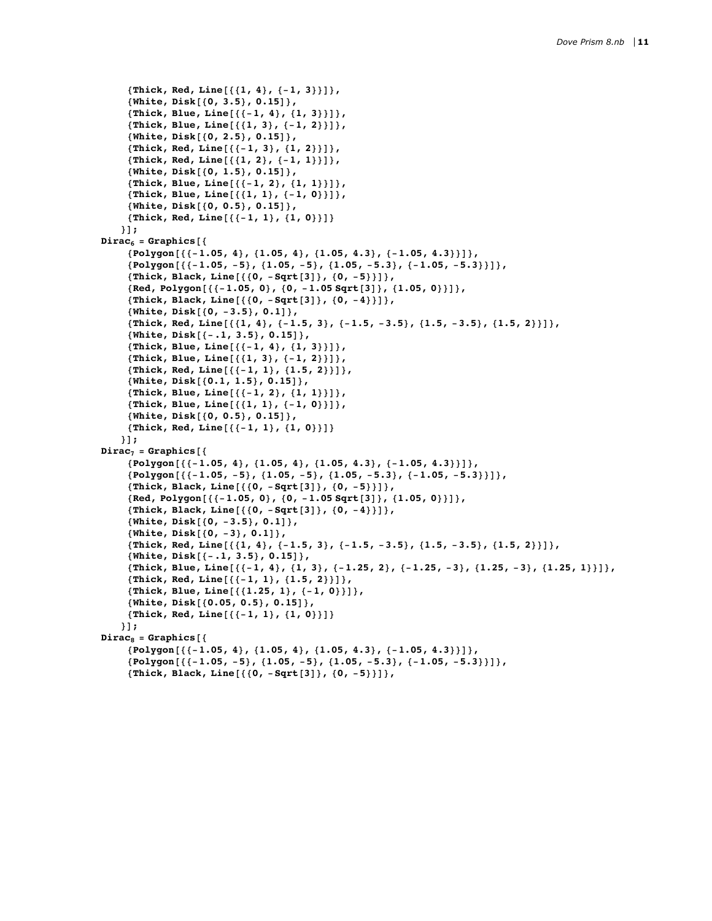```
8Thick, Red, Line@881, 4<, 8-1, 3<<D<,
     8White, Disk@80, 3.5<, 0.15D<,
     {Thick, Blue, Line[{(-1, 4), (1, 3)}]}8Thick, Blue, Line@881, 3<, 8-1, 2<<D<,
     8White, Disk@80, 2.5<, 0.15D<,
     8Thick, Red, Line@88-1, 3<, 81, 2<<D<,
     8Thick, Red, Line@881, 2<, 8-1, 1<<D<,
     8White, Disk@80, 1.5<, 0.15D<,
     8Thick, Blue, Line@88-1, 2<, 81, 1<<D<,
     8Thick, Blue, Line@881, 1<, 8-1, 0<<D<,
     8White, Disk@80, 0.5<, 0.15D<,
    { \{ \text{Thick, Red, Line}[\{ \{-1, 1\}, \{1, 0\} \} ] \} }}];
Dirac<sub>6</sub> = Graphics\{Polygon[\{-1.05, 4\}, \{1.05, 4\}, \{1.05, 4.3\}, \{-1.05, 4.3\}]\},{Polygon[{(-1.05, -5)}, {1.05, -5}, {1.05, -5.3}, {-1.05, -5.3}}],
     8Thick, Black, Line@880, -Sqrt@3D<, 80, -5<<D<,
     8Red, Polygon@88-1.05, 0<, 80, -1.05 Sqrt@3D<, 81.05, 0<<D<,
     8Thick, Black, Line@880, -Sqrt@3D<, 80, -4<<D<,
     8White, Disk@80, -3.5<, 0.1D<,
     {Thick, Red, Line[{\{(1, 4), (-1.5, 3), (-1.5, -3.5), (1.5, -3.5), (1.5, 2)\}\}
     8White, Disk@8-.1, 3.5<, 0.15D<,
     8Thick, Blue, Line@88-1, 4<, 81, 3<<D<,
     8Thick, Blue, Line@881, 3<, 8-1, 2<<D<,
     8Thick, Red, Line@88-1, 1<, 81.5, 2<<D<,
     8White, Disk@80.1, 1.5<, 0.15D<,
     8Thick, Blue, Line@88-1, 2<, 81, 1<<D<,
     { \{ \text{Thick, Blue, Line}[\{\{1, 1\}, \{-1, 0\}\}]\},8White, Disk@80, 0.5<, 0.15D<,
     8Thick, Red, Line@88-1, 1<, 81, 0<<D<
   <D;
Dirac<sub>7</sub> = Graphics{Polygon}[{-1.05, 4}, {1.05, 4}, {1.05, 4.3}, {-1.05, 4.3}}]},
     {Polygon[{(-1.05, -5)}, {1.05, -5}, {1.05, -5.3}, {-1.05, -5.3}}]8Thick, Black, Line@880, -Sqrt@3D<, 80, -5<<D<,
     {Red, Polygon[{-1.05, 0}, {0, -1.05, Sqrt[3]}, {1.05, 0}}],8Thick, Black, Line@880, -Sqrt@3D<, 80, -4<<D<,
     8White, Disk@80, -3.5<, 0.1D<,
     8White, Disk@80, -3<, 0.1D<,
     {Thick, Red, Line[{\{(1, 4), (-1.5, 3), (-1.5, -3.5), (1.5, -3.5), (1.5, 2)\}\}
     8White, Disk@8-.1, 3.5<, 0.15D<,
     {Thick, Blue, Line[{\{-1, 4\}, \{1, 3\}, \{-1.25, 2\}, \{-1.25, -3\}, \{1.25, -3\}, \{1.25, 1\}\}\,
     8Thick, Red, Line@88-1, 1<, 81.5, 2<<D<,
     8Thick, Blue, Line@881.25, 1<, 8-1, 0<<D<,
     8White, Disk@80.05, 0.5<, 0.15D<,
     { \{ \text{Thick, Red, Line}[\{ \{-1, 1\}, \{1, 0\} \} ] \} }<D;
Dirac<sub>8</sub> = Graphics{Polygon[{(-1.05, 4), (1.05, 4), (1.05, 4.3), (-1.05, 4.3)}]}{Polygon[{(-1.05, -5)}, {1.05, -5}, {1.05, -5.3}, {-1.05, -5.3}}]8Thick, Black, Line@880, -Sqrt@3D<, 80, -5<<D<,
```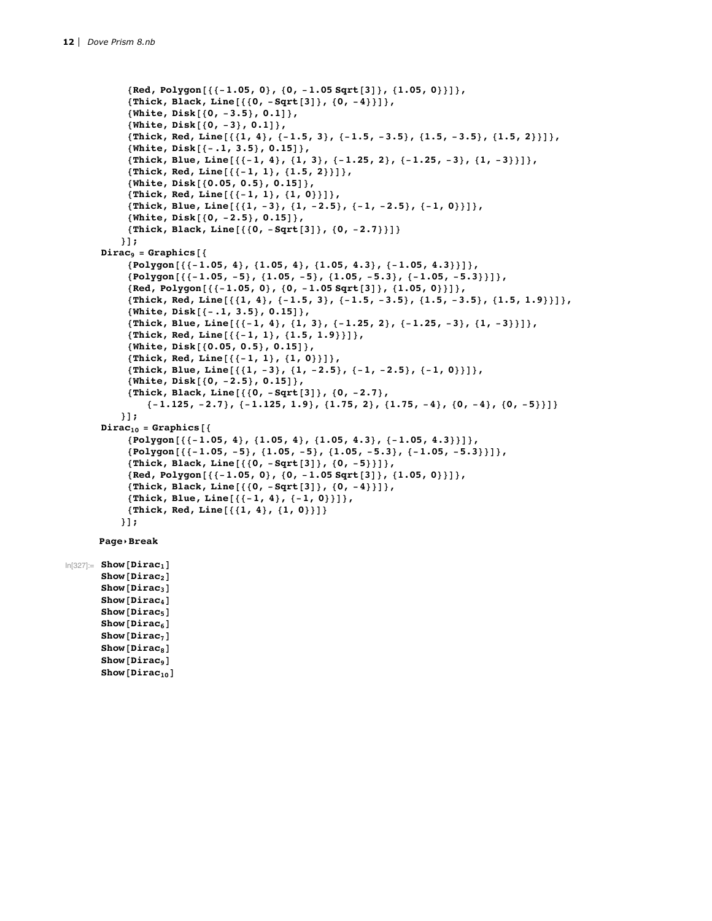```
8Red, Polygon@88-1.05, 0<, 80, -1.05 Sqrt@3D<, 81.05, 0<<D<,
     8Thick, Black, Line@880, -Sqrt@3D<, 80, -4<<D<,
     8White, Disk@80, -3.5<, 0.1D<,
     8White, Disk@80, -3<, 0.1D<,
     {Thick, Red, Line [\{1, 4\}, \{-1.5, 3\}, \{-1.5, -3.5\}, \{1.5, -3.5\}, \{1.5, 2\}]\},8White, Disk@8-.1, 3.5<, 0.15D<,
     {Thick, Blue, Line[\{(-1, 4), (1, 3), (-1.25, 2), (-1.25, -3), (1, -3)\}\},
     8Thick, Red, Line@88-1, 1<, 81.5, 2<<D<,
     8White, Disk@80.05, 0.5<, 0.15D<,
     8Thick, Red, Line@88-1, 1<, 81, 0<<D<,
     {Thick, Blue, Line[\{(1, -3), (1, -2.5), (-1, -2.5), (-1, 0)\}\},
     8White, Disk@80, -2.5<, 0.15D<,
     8Thick, Black, Line@880, -Sqrt@3D<, 80, -2.7<<D<
    31;Dirac<sub>9</sub> = Graphics{Polygon[{(-1.05, 4), (1.05, 4), (1.05, 4.3), (-1.05, 4.3)}]}{Polygon[{(-1.05, -5)}, {1.05, -5}, {1.05, -5.3}, {-1.05, -5.3})}{Red, Polygon[{-1.05, 0}, {0, -1.05, sqrt[3]}, {1.05, 0}}],{Thick, Red, Line[{\{1, 4\}, {-1.5, 3}, {-1.5, -3.5}, {1.5, -3.5}, {1.5, 1.9}}]},
     8White, Disk@8-.1, 3.5<, 0.15D<,
     {Thick, Blue, Line[{\{-1, 4\}, \{1, 3\}, \{-1.25, 2\}, \{-1.25, -3\}, \{1, -3\}]},
     8Thick, Red, Line@88-1, 1<, 81.5, 1.9<<D<,
     8White, Disk@80.05, 0.5<, 0.15D<,
     8Thick, Red, Line@88-1, 1<, 81, 0<<D<,
     {Thick, Blue, Line[{\{1, -3\}, {1, -2.5}, {-1, -2.5}, {-1, 0}}]},
     8White, Disk@80, -2.5<, 0.15D<,
     8Thick, Black, Line@880, -Sqrt@3D<, 80, -2.7<,
         \{-1.125, -2.7\}, \{-1.125, 1.9\}, \{1.75, 2\}, \{1.75, -4\}, \{0, -4\}, \{0, -5\}\}\} ] ;
Dirac_{10} = Graphics [{
     {Polygon[{(-1.05, 4), (1.05, 4), (1.05, 4.3), (-1.05, 4.3)}]}\{Polygon[\{-1.05, -5\}, \{1.05, -5\}, \{1.05, -5.3\}, \{-1.05, -5.3\}]\},8Thick, Black, Line@880, -Sqrt@3D<, 80, -5<<D<,
     {Red, Polygon[{(-1.05, 0)}, [0, -1.05, Sqrt[3]}, {1.05, 0)}8Thick, Black, Line@880, -Sqrt@3D<, 80, -4<<D<,
     { \{ \texttt{Thick, Blue, Line}[\{ \{-1, 4\}, \{-1, 0\} \} ] \}8Thick, Red, Line@881, 4<, 81, 0<<D<
    ];
Page▸Break
```
 $\ln[327]$ : **Show**  $[\text{Dirac}_1]$  $Show[Dirac<sub>2</sub>]$  $Show[Dirac<sub>3</sub>]$  $Show[Dirac<sub>4</sub>]$  $Show[Dirac<sub>5</sub>]$  $Show[Dirac<sub>6</sub>]$  $Show[Dirac<sub>7</sub>]$  $Show[Dirac_8]$  $Show[Dirac<sub>9</sub>]$  $Show[Dirac_{10}]$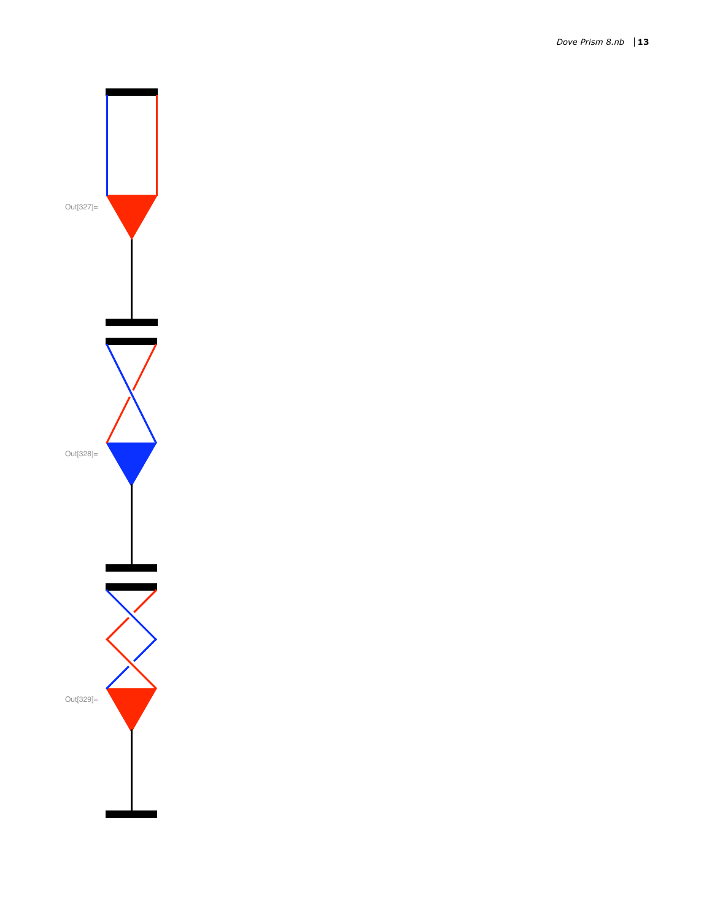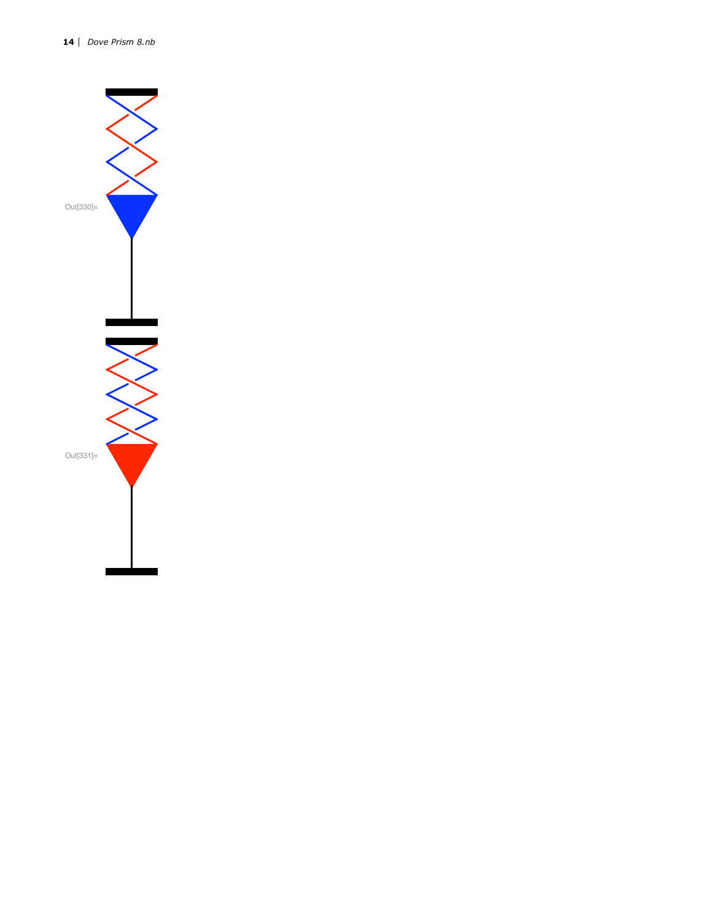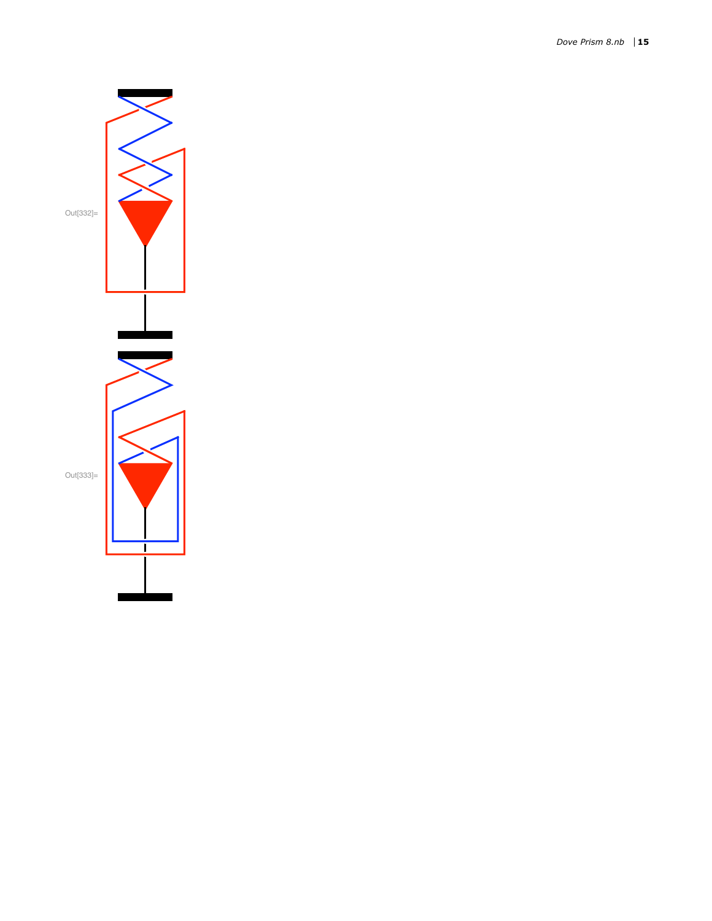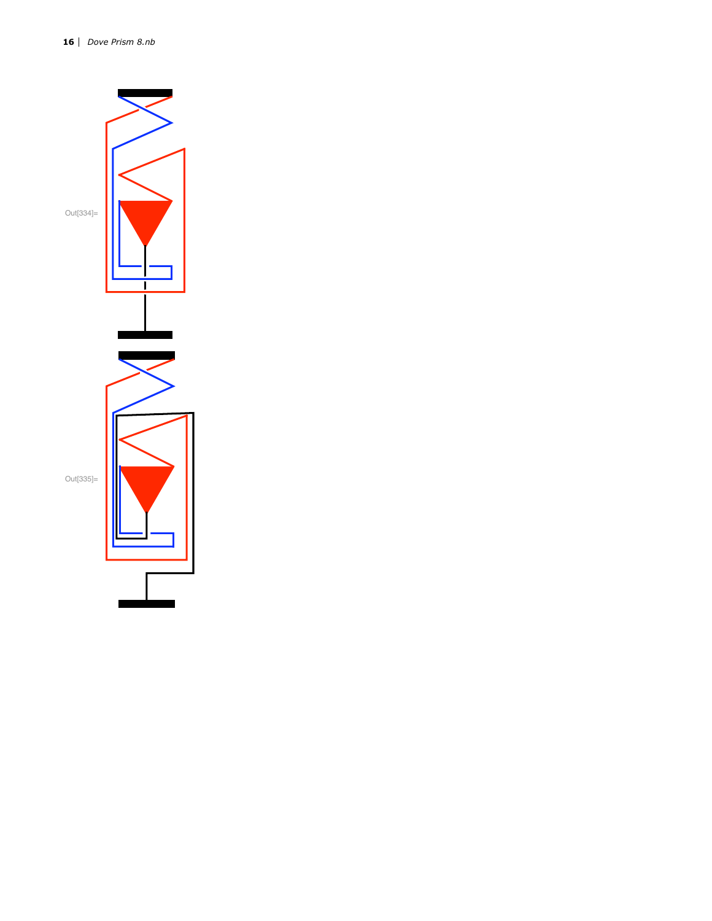